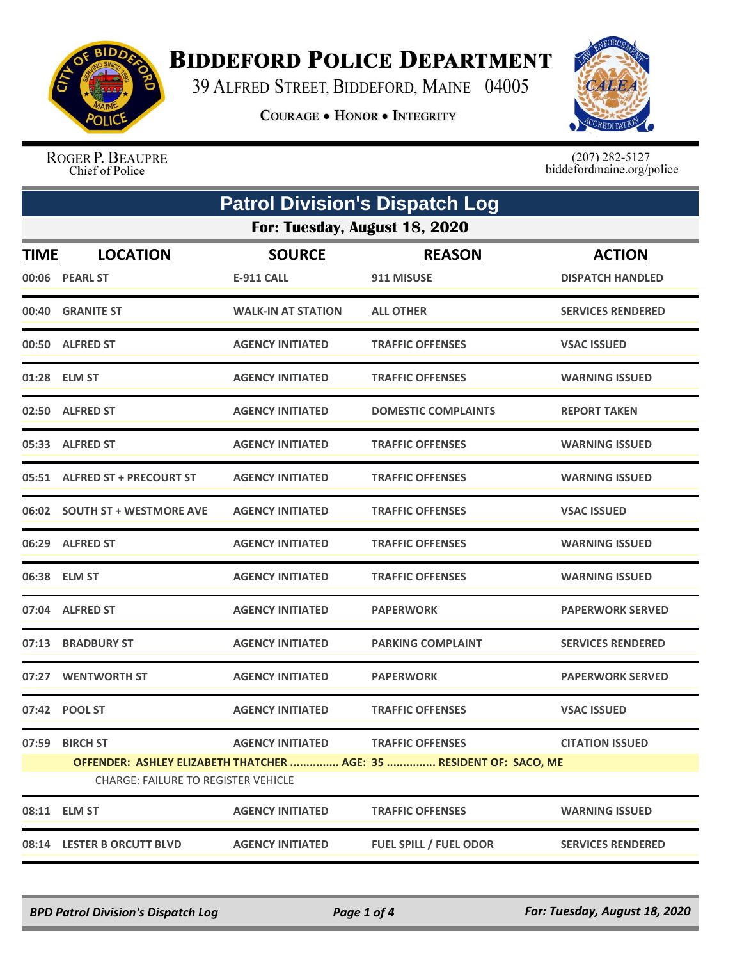

## **BIDDEFORD POLICE DEPARTMENT**

39 ALFRED STREET, BIDDEFORD, MAINE 04005

**COURAGE . HONOR . INTEGRITY** 



ROGER P. BEAUPRE Chief of Police

 $(207)$  282-5127<br>biddefordmaine.org/police

| <b>Patrol Division's Dispatch Log</b> |                                                                                                                   |                           |                               |                          |  |  |
|---------------------------------------|-------------------------------------------------------------------------------------------------------------------|---------------------------|-------------------------------|--------------------------|--|--|
|                                       | For: Tuesday, August 18, 2020                                                                                     |                           |                               |                          |  |  |
| <b>TIME</b>                           | <b>LOCATION</b>                                                                                                   | <b>SOURCE</b>             | <b>REASON</b>                 | <b>ACTION</b>            |  |  |
|                                       | 00:06 PEARL ST                                                                                                    | <b>E-911 CALL</b>         | 911 MISUSE                    | <b>DISPATCH HANDLED</b>  |  |  |
|                                       | 00:40 GRANITE ST                                                                                                  | <b>WALK-IN AT STATION</b> | <b>ALL OTHER</b>              | <b>SERVICES RENDERED</b> |  |  |
|                                       | 00:50 ALFRED ST                                                                                                   | <b>AGENCY INITIATED</b>   | <b>TRAFFIC OFFENSES</b>       | <b>VSAC ISSUED</b>       |  |  |
|                                       | 01:28 ELM ST                                                                                                      | <b>AGENCY INITIATED</b>   | <b>TRAFFIC OFFENSES</b>       | <b>WARNING ISSUED</b>    |  |  |
|                                       | 02:50 ALFRED ST                                                                                                   | <b>AGENCY INITIATED</b>   | <b>DOMESTIC COMPLAINTS</b>    | <b>REPORT TAKEN</b>      |  |  |
|                                       | 05:33 ALFRED ST                                                                                                   | <b>AGENCY INITIATED</b>   | <b>TRAFFIC OFFENSES</b>       | <b>WARNING ISSUED</b>    |  |  |
|                                       | 05:51 ALFRED ST + PRECOURT ST                                                                                     | <b>AGENCY INITIATED</b>   | <b>TRAFFIC OFFENSES</b>       | <b>WARNING ISSUED</b>    |  |  |
|                                       | 06:02 SOUTH ST + WESTMORE AVE                                                                                     | <b>AGENCY INITIATED</b>   | <b>TRAFFIC OFFENSES</b>       | <b>VSAC ISSUED</b>       |  |  |
|                                       | 06:29 ALFRED ST                                                                                                   | <b>AGENCY INITIATED</b>   | <b>TRAFFIC OFFENSES</b>       | <b>WARNING ISSUED</b>    |  |  |
|                                       | 06:38 ELM ST                                                                                                      | <b>AGENCY INITIATED</b>   | <b>TRAFFIC OFFENSES</b>       | <b>WARNING ISSUED</b>    |  |  |
|                                       | 07:04 ALFRED ST                                                                                                   | <b>AGENCY INITIATED</b>   | <b>PAPERWORK</b>              | <b>PAPERWORK SERVED</b>  |  |  |
|                                       | 07:13 BRADBURY ST                                                                                                 | <b>AGENCY INITIATED</b>   | <b>PARKING COMPLAINT</b>      | <b>SERVICES RENDERED</b> |  |  |
| 07:27                                 | <b>WENTWORTH ST</b>                                                                                               | <b>AGENCY INITIATED</b>   | <b>PAPERWORK</b>              | <b>PAPERWORK SERVED</b>  |  |  |
|                                       | 07:42 POOL ST                                                                                                     | <b>AGENCY INITIATED</b>   | <b>TRAFFIC OFFENSES</b>       | <b>VSAC ISSUED</b>       |  |  |
| 07:59                                 | <b>BIRCH ST</b>                                                                                                   | <b>AGENCY INITIATED</b>   | <b>TRAFFIC OFFENSES</b>       | <b>CITATION ISSUED</b>   |  |  |
|                                       | OFFENDER: ASHLEY ELIZABETH THATCHER  AGE: 35  RESIDENT OF: SACO, ME<br><b>CHARGE: FAILURE TO REGISTER VEHICLE</b> |                           |                               |                          |  |  |
|                                       | 08:11 ELM ST                                                                                                      | <b>AGENCY INITIATED</b>   | <b>TRAFFIC OFFENSES</b>       | <b>WARNING ISSUED</b>    |  |  |
|                                       | 08:14 LESTER B ORCUTT BLVD                                                                                        | <b>AGENCY INITIATED</b>   | <b>FUEL SPILL / FUEL ODOR</b> | <b>SERVICES RENDERED</b> |  |  |

*BPD Patrol Division's Dispatch Log Page 1 of 4 For: Tuesday, August 18, 2020*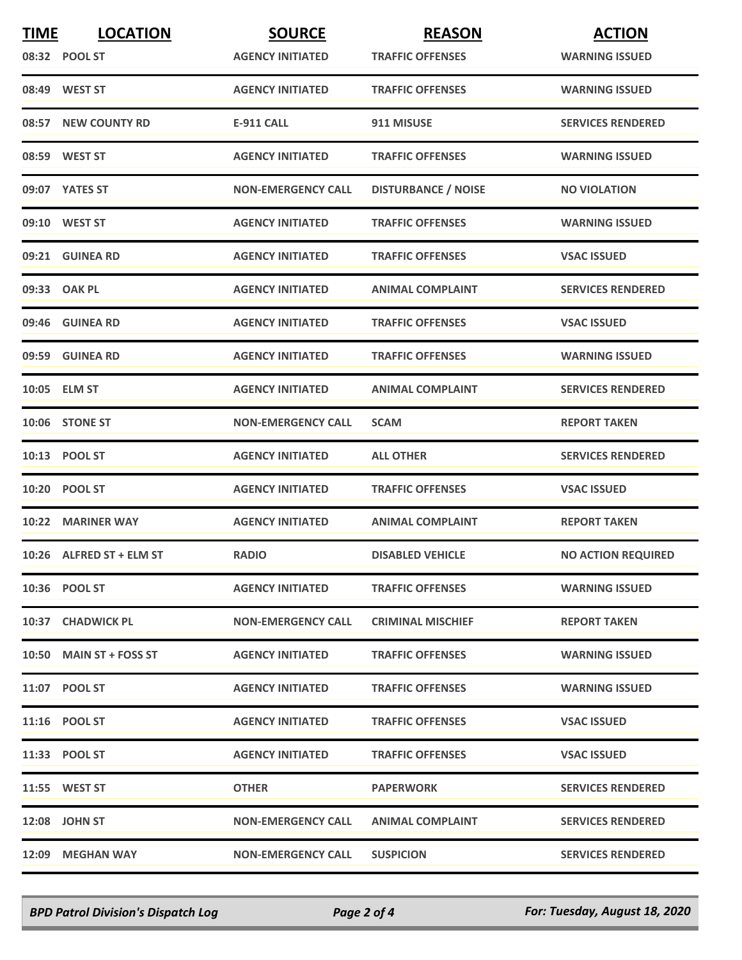| <b>TIME</b> | <b>LOCATION</b>          | <b>SOURCE</b>             | <b>REASON</b>              | <b>ACTION</b>             |
|-------------|--------------------------|---------------------------|----------------------------|---------------------------|
|             | 08:32 POOL ST            | <b>AGENCY INITIATED</b>   | <b>TRAFFIC OFFENSES</b>    | <b>WARNING ISSUED</b>     |
|             | 08:49 WEST ST            | <b>AGENCY INITIATED</b>   | <b>TRAFFIC OFFENSES</b>    | <b>WARNING ISSUED</b>     |
| 08:57       | <b>NEW COUNTY RD</b>     | <b>E-911 CALL</b>         | 911 MISUSE                 | <b>SERVICES RENDERED</b>  |
|             | 08:59 WEST ST            | <b>AGENCY INITIATED</b>   | <b>TRAFFIC OFFENSES</b>    | <b>WARNING ISSUED</b>     |
|             | 09:07 YATES ST           | <b>NON-EMERGENCY CALL</b> | <b>DISTURBANCE / NOISE</b> | <b>NO VIOLATION</b>       |
|             | 09:10 WEST ST            | <b>AGENCY INITIATED</b>   | <b>TRAFFIC OFFENSES</b>    | <b>WARNING ISSUED</b>     |
|             | 09:21 GUINEA RD          | <b>AGENCY INITIATED</b>   | <b>TRAFFIC OFFENSES</b>    | <b>VSAC ISSUED</b>        |
|             | 09:33 OAK PL             | <b>AGENCY INITIATED</b>   | <b>ANIMAL COMPLAINT</b>    | <b>SERVICES RENDERED</b>  |
|             | 09:46 GUINEA RD          | <b>AGENCY INITIATED</b>   | <b>TRAFFIC OFFENSES</b>    | <b>VSAC ISSUED</b>        |
|             | 09:59 GUINEA RD          | <b>AGENCY INITIATED</b>   | <b>TRAFFIC OFFENSES</b>    | <b>WARNING ISSUED</b>     |
|             | 10:05 ELM ST             | <b>AGENCY INITIATED</b>   | <b>ANIMAL COMPLAINT</b>    | <b>SERVICES RENDERED</b>  |
|             | 10:06 STONE ST           | <b>NON-EMERGENCY CALL</b> | <b>SCAM</b>                | <b>REPORT TAKEN</b>       |
|             | 10:13 POOL ST            | <b>AGENCY INITIATED</b>   | <b>ALL OTHER</b>           | <b>SERVICES RENDERED</b>  |
|             | 10:20 POOL ST            | <b>AGENCY INITIATED</b>   | <b>TRAFFIC OFFENSES</b>    | <b>VSAC ISSUED</b>        |
|             | 10:22 MARINER WAY        | <b>AGENCY INITIATED</b>   | <b>ANIMAL COMPLAINT</b>    | <b>REPORT TAKEN</b>       |
|             | 10:26 ALFRED ST + ELM ST | <b>RADIO</b>              | <b>DISABLED VEHICLE</b>    | <b>NO ACTION REQUIRED</b> |
|             | 10:36 POOL ST            | <b>AGENCY INITIATED</b>   | <b>TRAFFIC OFFENSES</b>    | <b>WARNING ISSUED</b>     |
|             | 10:37 CHADWICK PL        | <b>NON-EMERGENCY CALL</b> | <b>CRIMINAL MISCHIEF</b>   | <b>REPORT TAKEN</b>       |
|             | 10:50 MAIN ST + FOSS ST  | <b>AGENCY INITIATED</b>   | <b>TRAFFIC OFFENSES</b>    | <b>WARNING ISSUED</b>     |
|             | 11:07 POOL ST            | <b>AGENCY INITIATED</b>   | <b>TRAFFIC OFFENSES</b>    | <b>WARNING ISSUED</b>     |
|             | 11:16 POOL ST            | <b>AGENCY INITIATED</b>   | <b>TRAFFIC OFFENSES</b>    | <b>VSAC ISSUED</b>        |
|             | 11:33 POOL ST            | <b>AGENCY INITIATED</b>   | <b>TRAFFIC OFFENSES</b>    | <b>VSAC ISSUED</b>        |
|             | 11:55 WEST ST            | <b>OTHER</b>              | <b>PAPERWORK</b>           | <b>SERVICES RENDERED</b>  |
|             | 12:08 JOHN ST            | <b>NON-EMERGENCY CALL</b> | <b>ANIMAL COMPLAINT</b>    | <b>SERVICES RENDERED</b>  |
|             | 12:09 MEGHAN WAY         | <b>NON-EMERGENCY CALL</b> | <b>SUSPICION</b>           | <b>SERVICES RENDERED</b>  |

*BPD Patrol Division's Dispatch Log Page 2 of 4 For: Tuesday, August 18, 2020*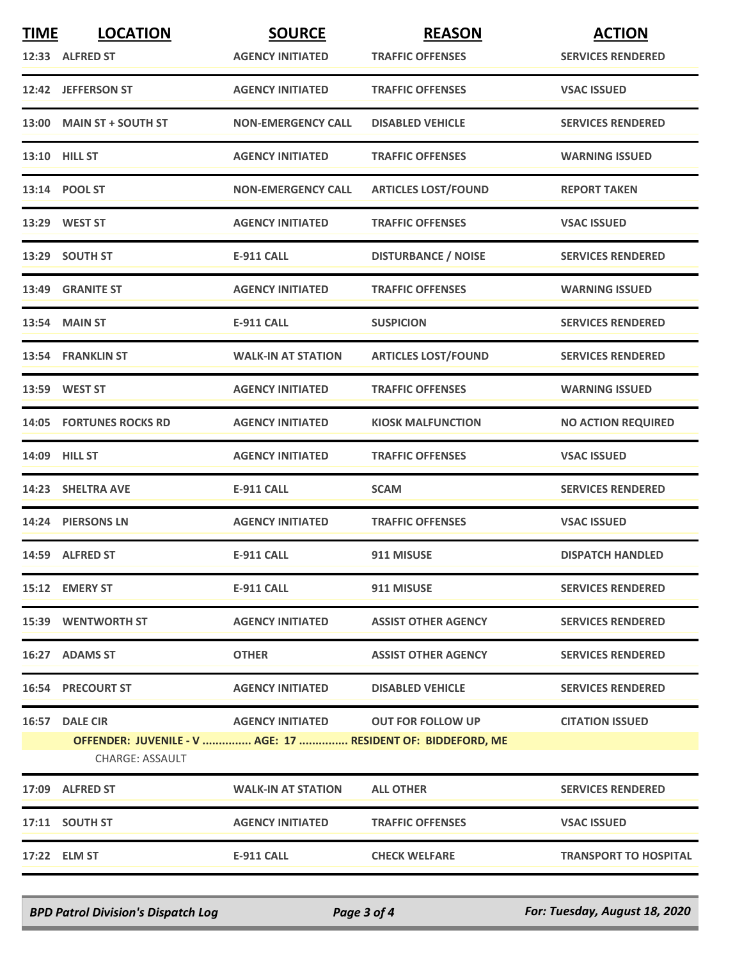| <b>TIME</b> | <b>LOCATION</b>                                                                | <b>SOURCE</b>             | <b>REASON</b>              | <b>ACTION</b>                |
|-------------|--------------------------------------------------------------------------------|---------------------------|----------------------------|------------------------------|
|             | 12:33 ALFRED ST                                                                | <b>AGENCY INITIATED</b>   | <b>TRAFFIC OFFENSES</b>    | <b>SERVICES RENDERED</b>     |
|             | 12:42 JEFFERSON ST                                                             | <b>AGENCY INITIATED</b>   | <b>TRAFFIC OFFENSES</b>    | <b>VSAC ISSUED</b>           |
|             | 13:00 MAIN ST + SOUTH ST                                                       | <b>NON-EMERGENCY CALL</b> | <b>DISABLED VEHICLE</b>    | <b>SERVICES RENDERED</b>     |
|             | 13:10 HILL ST                                                                  | <b>AGENCY INITIATED</b>   | <b>TRAFFIC OFFENSES</b>    | <b>WARNING ISSUED</b>        |
|             | 13:14 POOL ST                                                                  | <b>NON-EMERGENCY CALL</b> | <b>ARTICLES LOST/FOUND</b> | <b>REPORT TAKEN</b>          |
|             | 13:29 WEST ST                                                                  | <b>AGENCY INITIATED</b>   | <b>TRAFFIC OFFENSES</b>    | <b>VSAC ISSUED</b>           |
|             | 13:29 SOUTH ST                                                                 | <b>E-911 CALL</b>         | <b>DISTURBANCE / NOISE</b> | <b>SERVICES RENDERED</b>     |
|             | 13:49 GRANITE ST                                                               | <b>AGENCY INITIATED</b>   | <b>TRAFFIC OFFENSES</b>    | <b>WARNING ISSUED</b>        |
|             | <b>13:54 MAIN ST</b>                                                           | <b>E-911 CALL</b>         | <b>SUSPICION</b>           | <b>SERVICES RENDERED</b>     |
|             | 13:54 FRANKLIN ST                                                              | <b>WALK-IN AT STATION</b> | <b>ARTICLES LOST/FOUND</b> | <b>SERVICES RENDERED</b>     |
|             | 13:59 WEST ST                                                                  | <b>AGENCY INITIATED</b>   | <b>TRAFFIC OFFENSES</b>    | <b>WARNING ISSUED</b>        |
|             | <b>14:05 FORTUNES ROCKS RD</b>                                                 | <b>AGENCY INITIATED</b>   | <b>KIOSK MALFUNCTION</b>   | <b>NO ACTION REQUIRED</b>    |
|             | 14:09 HILL ST                                                                  | <b>AGENCY INITIATED</b>   | <b>TRAFFIC OFFENSES</b>    | <b>VSAC ISSUED</b>           |
|             | 14:23 SHELTRA AVE                                                              | <b>E-911 CALL</b>         | <b>SCAM</b>                | <b>SERVICES RENDERED</b>     |
|             | 14:24 PIERSONS LN                                                              | <b>AGENCY INITIATED</b>   | <b>TRAFFIC OFFENSES</b>    | <b>VSAC ISSUED</b>           |
|             | 14:59 ALFRED ST                                                                | <b>E-911 CALL</b>         | 911 MISUSE                 | <b>DISPATCH HANDLED</b>      |
|             | 15:12 EMERY ST                                                                 | E-911 CALL                | 911 MISUSE                 | <b>SERVICES RENDERED</b>     |
|             | <b>15:39 WENTWORTH ST</b>                                                      | <b>AGENCY INITIATED</b>   | <b>ASSIST OTHER AGENCY</b> | <b>SERVICES RENDERED</b>     |
|             | 16:27 ADAMS ST                                                                 | <b>OTHER</b>              | <b>ASSIST OTHER AGENCY</b> | <b>SERVICES RENDERED</b>     |
|             | <b>16:54 PRECOURT ST</b>                                                       | <b>AGENCY INITIATED</b>   | <b>DISABLED VEHICLE</b>    | <b>SERVICES RENDERED</b>     |
|             | 16:57 DALE CIR                                                                 | <b>AGENCY INITIATED</b>   | <b>OUT FOR FOLLOW UP</b>   | <b>CITATION ISSUED</b>       |
|             | OFFENDER: JUVENILE - V  AGE: 17  RESIDENT OF: BIDDEFORD, ME<br>CHARGE: ASSAULT |                           |                            |                              |
|             |                                                                                |                           |                            |                              |
|             | 17:09 ALFRED ST                                                                | <b>WALK-IN AT STATION</b> | <b>ALL OTHER</b>           | <b>SERVICES RENDERED</b>     |
|             | 17:11 SOUTH ST                                                                 | <b>AGENCY INITIATED</b>   | <b>TRAFFIC OFFENSES</b>    | <b>VSAC ISSUED</b>           |
|             | 17:22 ELM ST                                                                   | <b>E-911 CALL</b>         | <b>CHECK WELFARE</b>       | <b>TRANSPORT TO HOSPITAL</b> |

*BPD Patrol Division's Dispatch Log Page 3 of 4 For: Tuesday, August 18, 2020*